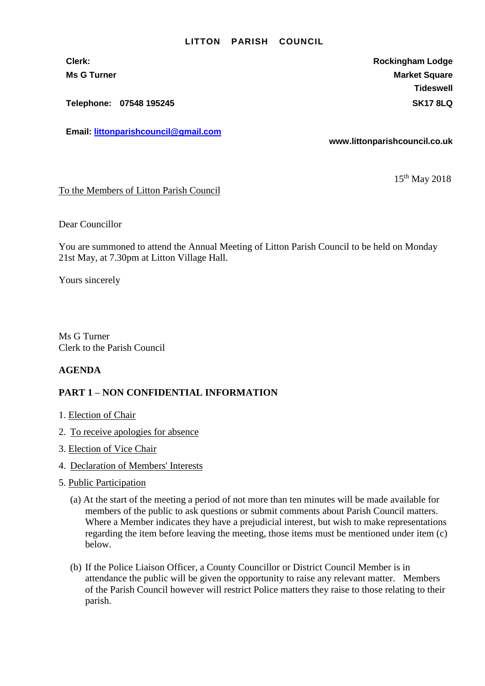#### **LITTON PARISH COUNCIL**

**Telephone: 07548 195245 SK17 8LQ**

**Email: [littonparishcouncil@gmail.com](mailto:littonparishcouncil@gmail.com)**

**Clerk: Rockingham Lodge Ms G Turner Market Square** Market Square **Tideswell**

**www.littonparishcouncil.co.uk**

15<sup>th</sup> May 2018

#### To the Members of Litton Parish Council

Dear Councillor

You are summoned to attend the Annual Meeting of Litton Parish Council to be held on Monday 21st May, at 7.30pm at Litton Village Hall.

Yours sincerely

Ms G Turner Clerk to the Parish Council

## **AGENDA**

### **PART 1 – NON CONFIDENTIAL INFORMATION**

- 1. Election of Chair
- 2. To receive apologies for absence
- 3. Election of Vice Chair
- 4. Declaration of Members' Interests
- 5. Public Participation
	- (a) At the start of the meeting a period of not more than ten minutes will be made available for members of the public to ask questions or submit comments about Parish Council matters. Where a Member indicates they have a prejudicial interest, but wish to make representations regarding the item before leaving the meeting, those items must be mentioned under item (c) below.
	- (b) If the Police Liaison Officer, a County Councillor or District Council Member is in attendance the public will be given the opportunity to raise any relevant matter. Members of the Parish Council however will restrict Police matters they raise to those relating to their parish.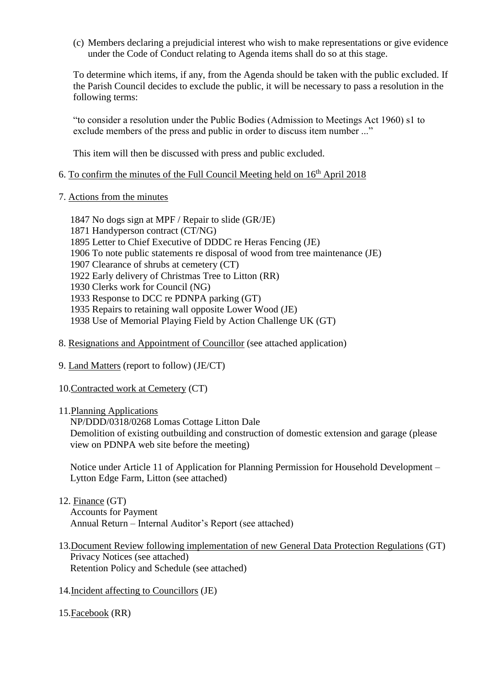(c) Members declaring a prejudicial interest who wish to make representations or give evidence under the Code of Conduct relating to Agenda items shall do so at this stage.

To determine which items, if any, from the Agenda should be taken with the public excluded. If the Parish Council decides to exclude the public, it will be necessary to pass a resolution in the following terms:

"to consider a resolution under the Public Bodies (Admission to Meetings Act 1960) s1 to exclude members of the press and public in order to discuss item number ..."

This item will then be discussed with press and public excluded.

# 6. To confirm the minutes of the Full Council Meeting held on  $16<sup>th</sup>$  April 2018

- 7. Actions from the minutes
	- 1847 No dogs sign at MPF / Repair to slide (GR/JE)
	- 1871 Handyperson contract (CT/NG)
	- 1895 Letter to Chief Executive of DDDC re Heras Fencing (JE)
	- 1906 To note public statements re disposal of wood from tree maintenance (JE)
	- 1907 Clearance of shrubs at cemetery (CT)
	- 1922 Early delivery of Christmas Tree to Litton (RR)
	- 1930 Clerks work for Council (NG)
	- 1933 Response to DCC re PDNPA parking (GT)
	- 1935 Repairs to retaining wall opposite Lower Wood (JE)
	- 1938 Use of Memorial Playing Field by Action Challenge UK (GT)
- 8. Resignations and Appointment of Councillor (see attached application)
- 9. Land Matters (report to follow) (JE/CT)
- 10.Contracted work at Cemetery (CT)
- 11.Planning Applications

NP/DDD/0318/0268 Lomas Cottage Litton Dale Demolition of existing outbuilding and construction of domestic extension and garage (please view on PDNPA web site before the meeting)

Notice under Article 11 of Application for Planning Permission for Household Development – Lytton Edge Farm, Litton (see attached)

### 12. Finance (GT)

Accounts for Payment Annual Return – Internal Auditor's Report (see attached)

- 13.Document Review following implementation of new General Data Protection Regulations (GT) Privacy Notices (see attached) Retention Policy and Schedule (see attached)
- 14.Incident affecting to Councillors (JE)
- 15.Facebook (RR)